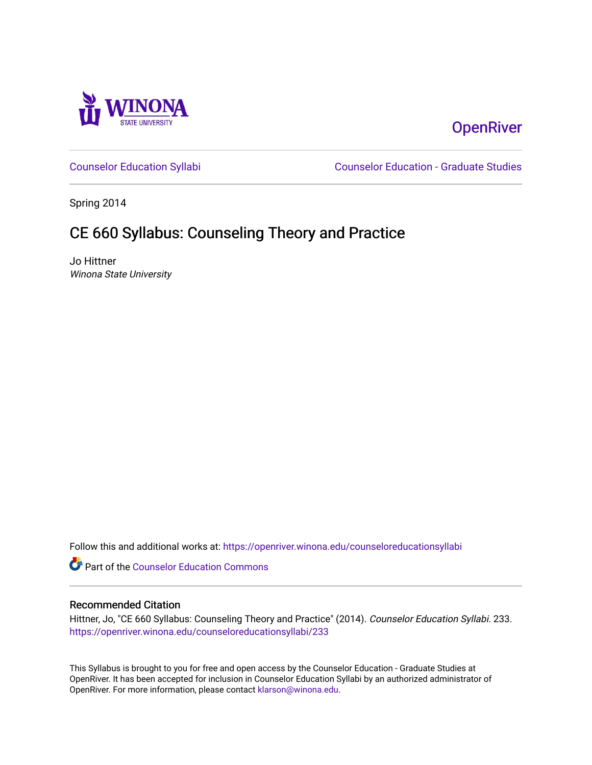

# **OpenRiver**

[Counselor Education Syllabi](https://openriver.winona.edu/counseloreducationsyllabi) [Counselor Education - Graduate Studies](https://openriver.winona.edu/counseloreducation) 

Spring 2014

# CE 660 Syllabus: Counseling Theory and Practice

Jo Hittner Winona State University

Follow this and additional works at: [https://openriver.winona.edu/counseloreducationsyllabi](https://openriver.winona.edu/counseloreducationsyllabi?utm_source=openriver.winona.edu%2Fcounseloreducationsyllabi%2F233&utm_medium=PDF&utm_campaign=PDFCoverPages)

Part of the [Counselor Education Commons](http://network.bepress.com/hgg/discipline/1278?utm_source=openriver.winona.edu%2Fcounseloreducationsyllabi%2F233&utm_medium=PDF&utm_campaign=PDFCoverPages) 

#### Recommended Citation

Hittner, Jo, "CE 660 Syllabus: Counseling Theory and Practice" (2014). Counselor Education Syllabi. 233. [https://openriver.winona.edu/counseloreducationsyllabi/233](https://openriver.winona.edu/counseloreducationsyllabi/233?utm_source=openriver.winona.edu%2Fcounseloreducationsyllabi%2F233&utm_medium=PDF&utm_campaign=PDFCoverPages)

This Syllabus is brought to you for free and open access by the Counselor Education - Graduate Studies at OpenRiver. It has been accepted for inclusion in Counselor Education Syllabi by an authorized administrator of OpenRiver. For more information, please contact [klarson@winona.edu](mailto:klarson@winona.edu).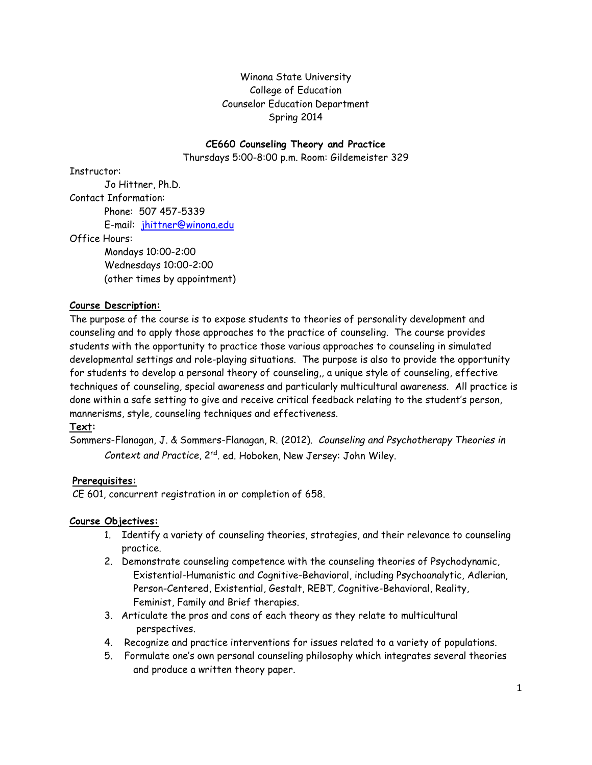## Winona State University College of Education Counselor Education Department Spring 2014

#### **CE660 Counseling Theory and Practice**

Thursdays 5:00-8:00 p.m. Room: Gildemeister 329

Instructor:

Jo Hittner, Ph.D. Contact Information: Phone: 507 457-5339 E-mail: [jhittner@winona.edu](mailto:jhittner@winona.edu)

Office Hours:

Mondays 10:00-2:00 Wednesdays 10:00-2:00 (other times by appointment)

## **Course Description:**

The purpose of the course is to expose students to theories of personality development and counseling and to apply those approaches to the practice of counseling. The course provides students with the opportunity to practice those various approaches to counseling in simulated developmental settings and role-playing situations. The purpose is also to provide the opportunity for students to develop a personal theory of counseling,, a unique style of counseling, effective techniques of counseling, special awareness and particularly multicultural awareness. All practice is done within a safe setting to give and receive critical feedback relating to the student's person, mannerisms, style, counseling techniques and effectiveness.

#### **Text:**

Sommers-Flanagan, J. & Sommers-Flanagan, R. (2012). *Counseling and Psychotherapy Theories in Context and Practice*, 2nd. ed. Hoboken, New Jersey: John Wiley.

#### **Prerequisites:**

CE 601, concurrent registration in or completion of 658.

#### **Course Objectives:**

- 1. Identify a variety of counseling theories, strategies, and their relevance to counseling practice.
- 2. Demonstrate counseling competence with the counseling theories of Psychodynamic, Existential-Humanistic and Cognitive-Behavioral, including Psychoanalytic, Adlerian, Person-Centered, Existential, Gestalt, REBT, Cognitive-Behavioral, Reality, Feminist, Family and Brief therapies.
- 3. Articulate the pros and cons of each theory as they relate to multicultural perspectives.
- 4. Recognize and practice interventions for issues related to a variety of populations.
- 5. Formulate one's own personal counseling philosophy which integrates several theories and produce a written theory paper.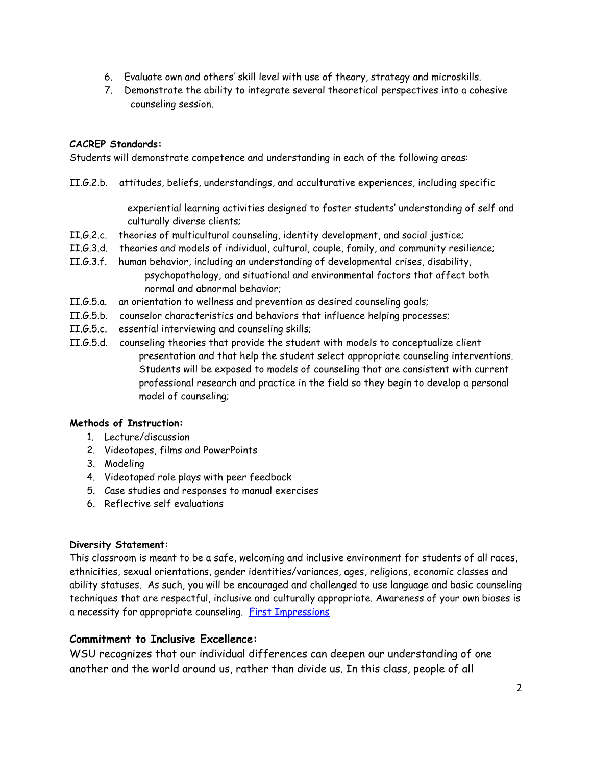- 6. Evaluate own and others' skill level with use of theory, strategy and microskills.
- 7. Demonstrate the ability to integrate several theoretical perspectives into a cohesive counseling session.

#### **CACREP Standards:**

Students will demonstrate competence and understanding in each of the following areas:

II.G.2.b. attitudes, beliefs, understandings, and acculturative experiences, including specific

 experiential learning activities designed to foster students' understanding of self and culturally diverse clients;

- II.G.2.c. theories of multicultural counseling, identity development, and social justice;
- II.G.3.d. theories and models of individual, cultural, couple, family, and community resilience;
- II.G.3.f. human behavior, including an understanding of developmental crises, disability, psychopathology, and situational and environmental factors that affect both normal and abnormal behavior;
- II.G.5.a. an orientation to wellness and prevention as desired counseling goals;
- II.G.5.b. counselor characteristics and behaviors that influence helping processes;
- II.G.5.c. essential interviewing and counseling skills;
- II.G.5.d. counseling theories that provide the student with models to conceptualize client presentation and that help the student select appropriate counseling interventions. Students will be exposed to models of counseling that are consistent with current professional research and practice in the field so they begin to develop a personal model of counseling;

#### **Methods of Instruction:**

- 1. Lecture/discussion
- 2. Videotapes, films and PowerPoints
- 3. Modeling
- 4. Videotaped role plays with peer feedback
- 5. Case studies and responses to manual exercises
- 6. Reflective self evaluations

#### **Diversity Statement:**

This classroom is meant to be a safe, welcoming and inclusive environment for students of all races, ethnicities, sexual orientations, gender identities/variances, ages, religions, economic classes and ability statuses. As such, you will be encouraged and challenged to use language and basic counseling techniques that are respectful, inclusive and culturally appropriate. Awareness of your own biases is a necessity for appropriate counseling. [First Impressions](http://www.youtube.com/watch?v=76BboyrEl48)

## **Commitment to Inclusive Excellence:**

WSU recognizes that our individual differences can deepen our understanding of one another and the world around us, rather than divide us. In this class, people of all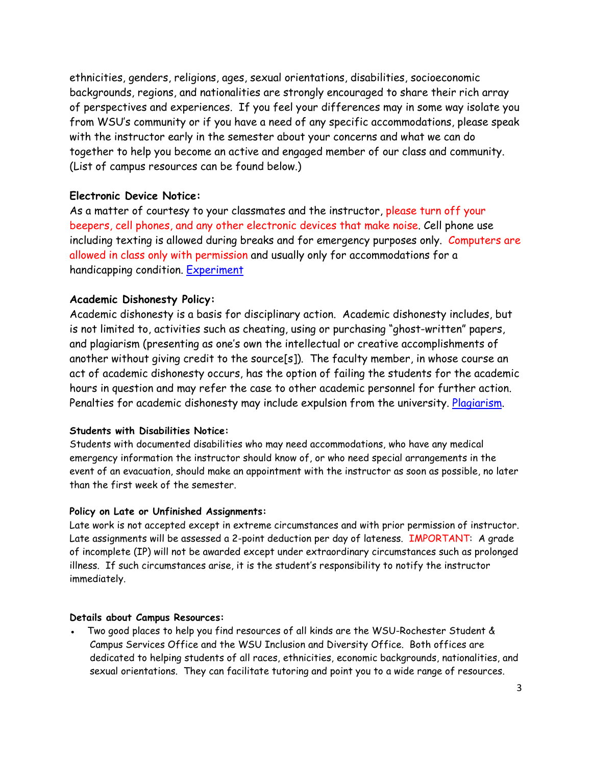ethnicities, genders, religions, ages, sexual orientations, disabilities, socioeconomic backgrounds, regions, and nationalities are strongly encouraged to share their rich array of perspectives and experiences. If you feel your differences may in some way isolate you from WSU's community or if you have a need of any specific accommodations, please speak with the instructor early in the semester about your concerns and what we can do together to help you become an active and engaged member of our class and community. (List of campus resources can be found below.)

#### **Electronic Device Notice:**

As a matter of courtesy to your classmates and the instructor, please turn off your beepers, cell phones, and any other electronic devices that make noise. Cell phone use including texting is allowed during breaks and for emergency purposes only. Computers are allowed in class only with permission and usually only for accommodations for a handicapping condition. [Experiment](http://youtu.be/HHQv1KdpI-8)

#### **Academic Dishonesty Policy:**

Academic dishonesty is a basis for disciplinary action. Academic dishonesty includes, but is not limited to, activities such as cheating, using or purchasing "ghost-written" papers, and plagiarism (presenting as one's own the intellectual or creative accomplishments of another without giving credit to the source[s]). The faculty member, in whose course an act of academic dishonesty occurs, has the option of failing the students for the academic hours in question and may refer the case to other academic personnel for further action. Penalties for academic dishonesty may include expulsion from the university. [Plagiarism.](http://www.youtube.com/watch?v=VnTPv9PtOoo)

#### **Students with Disabilities Notice:**

Students with documented disabilities who may need accommodations, who have any medical emergency information the instructor should know of, or who need special arrangements in the event of an evacuation, should make an appointment with the instructor as soon as possible, no later than the first week of the semester.

#### **Policy on Late or Unfinished Assignments:**

Late work is not accepted except in extreme circumstances and with prior permission of instructor. Late assignments will be assessed a 2-point deduction per day of lateness. IMPORTANT: A grade of incomplete (IP) will not be awarded except under extraordinary circumstances such as prolonged illness. If such circumstances arise, it is the student's responsibility to notify the instructor immediately.

#### **Details about Campus Resources:**

Two good places to help you find resources of all kinds are the WSU-Rochester Student & Campus Services Office and the WSU Inclusion and Diversity Office. Both offices are dedicated to helping students of all races, ethnicities, economic backgrounds, nationalities, and sexual orientations. They can facilitate tutoring and point you to a wide range of resources.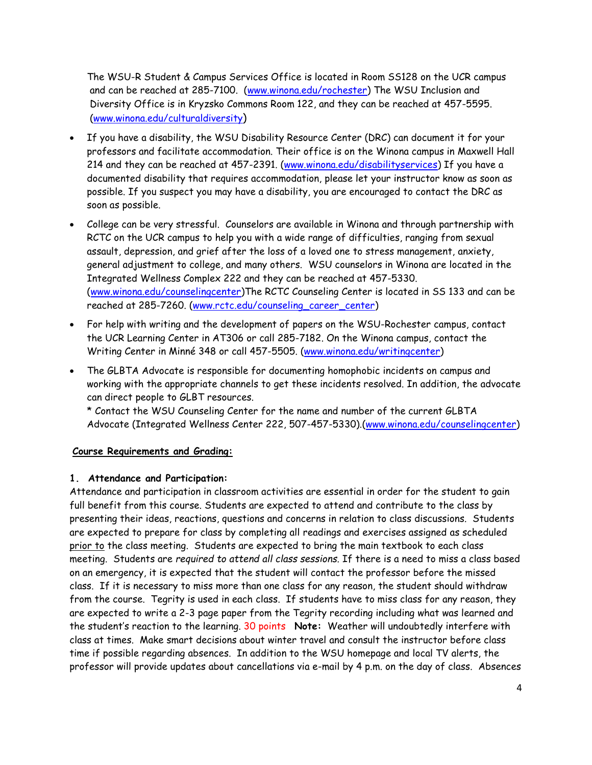The WSU-R Student & Campus Services Office is located in Room SS128 on the UCR campus and can be reached at 285-7100. [\(www.winona.edu/rochester\)](http://www.winona.edu/rochester) The WSU Inclusion and Diversity Office is in Kryzsko Commons Room 122, and they can be reached at 457-5595. [\(www.winona.edu/culturaldiversity\)](http://www.winona.edu/culturaldiversity)

- If you have a disability, the WSU Disability Resource Center (DRC) can document it for your professors and facilitate accommodation. Their office is on the Winona campus in Maxwell Hall 214 and they can be reached at 457-2391. [\(www.winona.edu/disabilityservices\)](http://www.winona.edu/disabilityservices) If you have a documented disability that requires accommodation, please let your instructor know as soon as possible. If you suspect you may have a disability, you are encouraged to contact the DRC as soon as possible.
- College can be very stressful. Counselors are available in Winona and through partnership with RCTC on the UCR campus to help you with a wide range of difficulties, ranging from sexual assault, depression, and grief after the loss of a loved one to stress management, anxiety, general adjustment to college, and many others. WSU counselors in Winona are located in the Integrated Wellness Complex 222 and they can be reached at 457-5330. [\(www.winona.edu/counselingcenter\)](http://www.winona.edu/counselingcenter)The RCTC Counseling Center is located in SS 133 and can be reached at 285-7260. [\(www.rctc.edu/counseling\\_career\\_center\)](http://www.rctc.edu/counseling_career_center)
- For help with writing and the development of papers on the WSU-Rochester campus, contact the UCR Learning Center in AT306 or call 285-7182. On the Winona campus, contact the Writing Center in Minné 348 or call 457-5505. [\(www.winona.edu/writingcenter\)](http://www.winona.edu/writingcenter)
- The GLBTA Advocate is responsible for documenting homophobic incidents on campus and working with the appropriate channels to get these incidents resolved. In addition, the advocate can direct people to GLBT resources.

\* Contact the WSU Counseling Center for the name and number of the current GLBTA Advocate (Integrated Wellness Center 222, 507-457-5330).[\(www.winona.edu/counselingcenter\)](http://www.winona.edu/counselingcenter)

#### **Course Requirements and Grading:**

#### **1. Attendance and Participation:**

Attendance and participation in classroom activities are essential in order for the student to gain full benefit from this course. Students are expected to attend and contribute to the class by presenting their ideas, reactions, questions and concerns in relation to class discussions. Students are expected to prepare for class by completing all readings and exercises assigned as scheduled prior to the class meeting. Students are expected to bring the main textbook to each class meeting. Students are *required to attend all class sessions.* If there is a need to miss a class based on an emergency, it is expected that the student will contact the professor before the missed class. If it is necessary to miss more than one class for any reason, the student should withdraw from the course. Tegrity is used in each class. If students have to miss class for any reason, they are expected to write a 2-3 page paper from the Tegrity recording including what was learned and the student's reaction to the learning. 30 points **Note:** Weather will undoubtedly interfere with class at times. Make smart decisions about winter travel and consult the instructor before class time if possible regarding absences. In addition to the WSU homepage and local TV alerts, the professor will provide updates about cancellations via e-mail by 4 p.m. on the day of class. Absences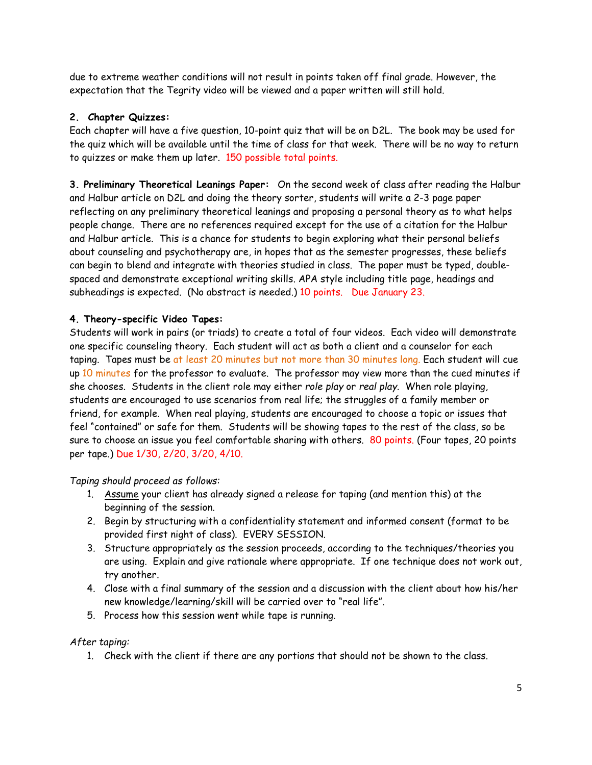due to extreme weather conditions will not result in points taken off final grade. However, the expectation that the Tegrity video will be viewed and a paper written will still hold.

# **2. Chapter Quizzes:**

Each chapter will have a five question, 10-point quiz that will be on D2L. The book may be used for the quiz which will be available until the time of class for that week. There will be no way to return to quizzes or make them up later. 150 possible total points.

**3. Preliminary Theoretical Leanings Paper:** On the second week of class after reading the Halbur and Halbur article on D2L and doing the theory sorter, students will write a 2-3 page paper reflecting on any preliminary theoretical leanings and proposing a personal theory as to what helps people change. There are no references required except for the use of a citation for the Halbur and Halbur article. This is a chance for students to begin exploring what their personal beliefs about counseling and psychotherapy are, in hopes that as the semester progresses, these beliefs can begin to blend and integrate with theories studied in class. The paper must be typed, doublespaced and demonstrate exceptional writing skills. APA style including title page, headings and subheadings is expected. (No abstract is needed.) 10 points. Due January 23.

## **4. Theory-specific Video Tapes:**

Students will work in pairs (or triads) to create a total of four videos. Each video will demonstrate one specific counseling theory. Each student will act as both a client and a counselor for each taping. Tapes must be at least 20 minutes but not more than 30 minutes long. Each student will cue up 10 minutes for the professor to evaluate. The professor may view more than the cued minutes if she chooses. Students in the client role may either *role play* or *real play*. When role playing, students are encouraged to use scenarios from real life; the struggles of a family member or friend, for example. When real playing, students are encouraged to choose a topic or issues that feel "contained" or safe for them. Students will be showing tapes to the rest of the class, so be sure to choose an issue you feel comfortable sharing with others. 80 points. (Four tapes, 20 points per tape.) Due 1/30, 2/20, 3/20, 4/10.

#### *Taping should proceed as follows:*

- 1. Assume your client has already signed a release for taping (and mention this) at the beginning of the session.
- 2. Begin by structuring with a confidentiality statement and informed consent (format to be provided first night of class). EVERY SESSION.
- 3. Structure appropriately as the session proceeds, according to the techniques/theories you are using. Explain and give rationale where appropriate. If one technique does not work out, try another.
- 4. Close with a final summary of the session and a discussion with the client about how his/her new knowledge/learning/skill will be carried over to "real life".
- 5. Process how this session went while tape is running.

#### *After taping:*

1. Check with the client if there are any portions that should not be shown to the class.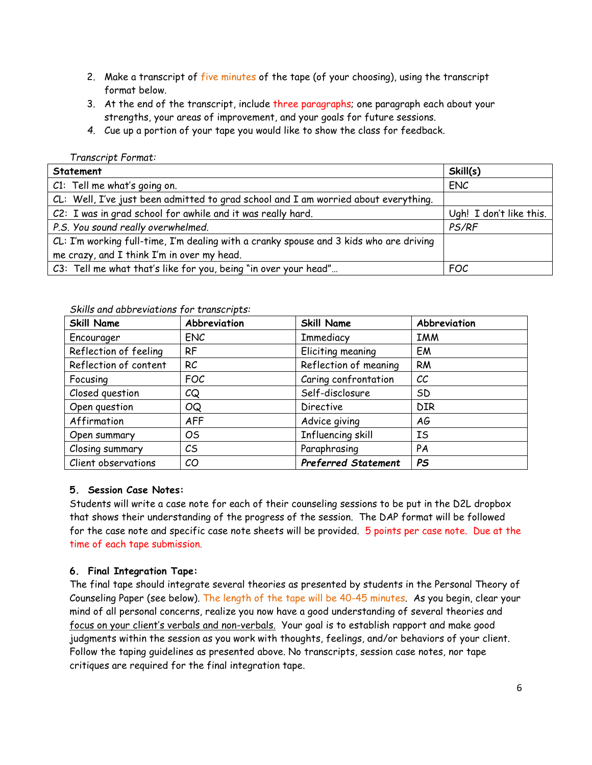- 2. Make a transcript of five minutes of the tape (of your choosing), using the transcript format below.
- 3. At the end of the transcript, include three paragraphs; one paragraph each about your strengths, your areas of improvement, and your goals for future sessions.
- *4.* Cue up a portion of your tape you would like to show the class for feedback.

#### *Transcript Format:*

| Statement                                                                              | Skill(s)                |
|----------------------------------------------------------------------------------------|-------------------------|
| C1: Tell me what's going on.                                                           | <b>ENC</b>              |
| CL: Well, I've just been admitted to grad school and I am worried about everything.    |                         |
| C2: I was in grad school for awhile and it was really hard.                            | Ugh! I don't like this. |
| P.S. You sound really overwhelmed.                                                     | PS/RF                   |
| CL: I'm working full-time, I'm dealing with a cranky spouse and 3 kids who are driving |                         |
| me crazy, and I think I'm in over my head.                                             |                         |
| C3: Tell me what that's like for you, being "in over your head"                        | FOC                     |

#### *Skills and abbreviations for transcripts:*

| <b>Skill Name</b>     | Abbreviation  | <b>Skill Name</b>          | Abbreviation |
|-----------------------|---------------|----------------------------|--------------|
| Encourager            | <b>ENC</b>    | Immediacy                  | <b>IMM</b>   |
| Reflection of feeling | RF            | Eliciting meaning          | EM           |
| Reflection of content | RC            | Reflection of meaning      | <b>RM</b>    |
| Focusing              | <b>FOC</b>    | Caring confrontation       | cc           |
| Closed question       | CQ            | Self-disclosure            | SD           |
| Open question         | <b>OQ</b>     | Directive                  | <b>DIR</b>   |
| Affirmation           | <b>AFF</b>    | Advice giving              | АG           |
| Open summary          | OS            | Influencing skill          | IS           |
| Closing summary       | $\mathcal{C}$ | Paraphrasing               | PA           |
| Client observations   | CO            | <b>Preferred Statement</b> | <b>PS</b>    |

#### **5. Session Case Notes:**

Students will write a case note for each of their counseling sessions to be put in the D2L dropbox that shows their understanding of the progress of the session. The DAP format will be followed for the case note and specific case note sheets will be provided. 5 points per case note. Due at the time of each tape submission.

#### **6. Final Integration Tape:**

The final tape should integrate several theories as presented by students in the Personal Theory of Counseling Paper (see below). The length of the tape will be 40-45 minutes. As you begin, clear your mind of all personal concerns, realize you now have a good understanding of several theories and focus on your client's verbals and non-verbals. Your goal is to establish rapport and make good judgments within the session as you work with thoughts, feelings, and/or behaviors of your client. Follow the taping guidelines as presented above. No transcripts, session case notes, nor tape critiques are required for the final integration tape.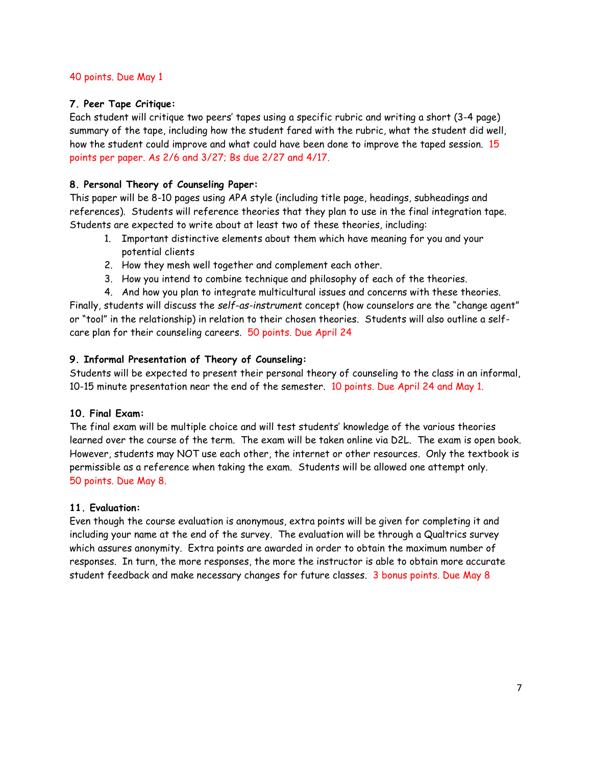#### 40 points. Due May 1

#### **7. Peer Tape Critique:**

Each student will critique two peers' tapes using a specific rubric and writing a short (3-4 page) summary of the tape, including how the student fared with the rubric, what the student did well, how the student could improve and what could have been done to improve the taped session. 15 points per paper. As 2/6 and 3/27; Bs due 2/27 and 4/17.

#### **8. Personal Theory of Counseling Paper:**

This paper will be 8-10 pages using APA style (including title page, headings, subheadings and references). Students will reference theories that they plan to use in the final integration tape. Students are expected to write about at least two of these theories, including:

- 1. Important distinctive elements about them which have meaning for you and your potential clients
- 2. How they mesh well together and complement each other.
- 3. How you intend to combine technique and philosophy of each of the theories.
- 4. And how you plan to integrate multicultural issues and concerns with these theories. Finally, students will discuss the *self-as-instrument* concept (how counselors are the "change agent" or "tool" in the relationship) in relation to their chosen theories. Students will also outline a selfcare plan for their counseling careers. 50 points. Due April 24

#### **9. Informal Presentation of Theory of Counseling:**

Students will be expected to present their personal theory of counseling to the class in an informal, 10-15 minute presentation near the end of the semester. 10 points. Due April 24 and May 1.

#### **10. Final Exam:**

The final exam will be multiple choice and will test students' knowledge of the various theories learned over the course of the term. The exam will be taken online via D2L. The exam is open book. However, students may NOT use each other, the internet or other resources. Only the textbook is permissible as a reference when taking the exam. Students will be allowed one attempt only. 50 points. Due May 8.

#### **11. Evaluation:**

Even though the course evaluation is anonymous, extra points will be given for completing it and including your name at the end of the survey. The evaluation will be through a Qualtrics survey which assures anonymity. Extra points are awarded in order to obtain the maximum number of responses. In turn, the more responses, the more the instructor is able to obtain more accurate student feedback and make necessary changes for future classes. 3 bonus points. Due May 8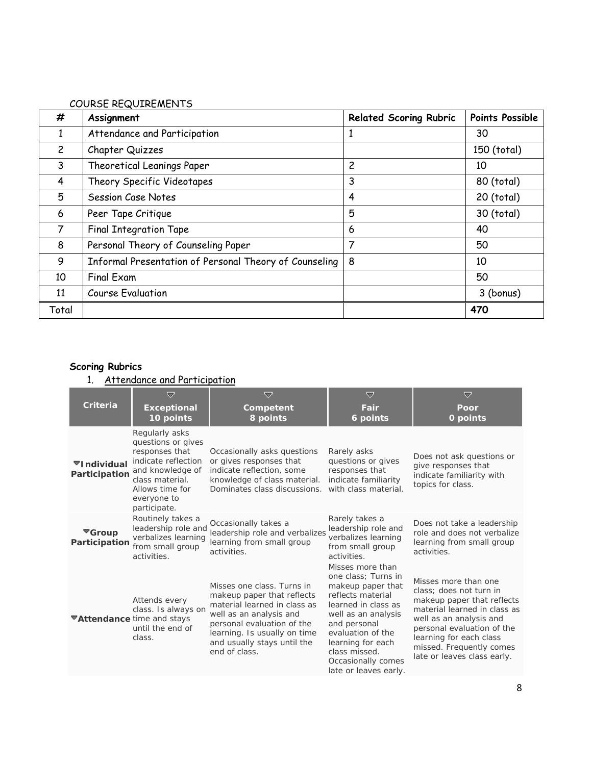#### COURSE REQUIREMENTS

| #              | Assignment                                             | <b>Related Scoring Rubric</b> | Points Possible |
|----------------|--------------------------------------------------------|-------------------------------|-----------------|
| 1              | Attendance and Participation                           |                               | 30              |
| $\overline{c}$ | Chapter Quizzes                                        |                               | 150 (total)     |
| 3              | Theoretical Leanings Paper                             | $\overline{c}$                | 10              |
| 4              | Theory Specific Videotapes                             | 3                             | 80 (total)      |
| 5              | Session Case Notes                                     | 4                             | 20 (total)      |
| 6              | Peer Tape Critique                                     | 5                             | 30 (total)      |
| 7              | <b>Final Integration Tape</b>                          | 6                             | 40              |
| 8              | Personal Theory of Counseling Paper                    | 7                             | 50              |
| 9              | Informal Presentation of Personal Theory of Counseling | 8                             | 10              |
| 10             | <b>Final Exam</b>                                      |                               | 50              |
| 11             | <b>Course Evaluation</b>                               |                               | 3 (bonus)       |
| Total          |                                                        |                               | 470             |

# **Scoring Rubrics**

1. Attendance and Participation

|                                             | ≂                                                                                                                                                                      | ▽                                                                                                                                                                                                                                 | ▽                                                                                                                                                                                                                                                         | ▽                                                                                                                                                                                                                                                            |
|---------------------------------------------|------------------------------------------------------------------------------------------------------------------------------------------------------------------------|-----------------------------------------------------------------------------------------------------------------------------------------------------------------------------------------------------------------------------------|-----------------------------------------------------------------------------------------------------------------------------------------------------------------------------------------------------------------------------------------------------------|--------------------------------------------------------------------------------------------------------------------------------------------------------------------------------------------------------------------------------------------------------------|
| <b>Criteria</b>                             | <b>Exceptional</b><br>10 points                                                                                                                                        | Competent<br>8 points                                                                                                                                                                                                             | Fair<br>6 points                                                                                                                                                                                                                                          | Poor<br>0 points                                                                                                                                                                                                                                             |
| ▼Individual<br>Participation                | Regularly asks<br>questions or gives<br>responses that<br>indicate reflection<br>and knowledge of<br>class material.<br>Allows time for<br>everyone to<br>participate. | Occasionally asks questions<br>or gives responses that<br>indicate reflection, some<br>knowledge of class material.<br>Dominates class discussions.                                                                               | Rarely asks<br>questions or gives<br>responses that<br>indicate familiarity<br>with class material.                                                                                                                                                       | Does not ask questions or<br>give responses that<br>indicate familiarity with<br>topics for class.                                                                                                                                                           |
| $\blacktriangledown$ Group<br>Participation | Routinely takes a<br>leadership role and<br>verbalizes learning<br>from small group<br>activities.                                                                     | Occasionally takes a<br>leadership role and verbalizes<br>learning from small group<br>activities.                                                                                                                                | Rarely takes a<br>leadership role and<br>verbalizes learning<br>from small group<br>activities.                                                                                                                                                           | Does not take a leadership<br>role and does not verbalize<br>learning from small group<br>activities.                                                                                                                                                        |
| <b>▼Attendance time and stays</b>           | Attends every<br>class. Is always on<br>until the end of<br>class.                                                                                                     | Misses one class. Turns in<br>makeup paper that reflects<br>material learned in class as<br>well as an analysis and<br>personal evaluation of the<br>learning. Is usually on time<br>and usually stays until the<br>end of class. | Misses more than<br>one class; Turns in<br>makeup paper that<br>reflects material<br>learned in class as<br>well as an analysis<br>and personal<br>evaluation of the<br>learning for each<br>class missed.<br>Occasionally comes<br>late or leaves early. | Misses more than one<br>class: does not turn in<br>makeup paper that reflects<br>material learned in class as<br>well as an analysis and<br>personal evaluation of the<br>learning for each class<br>missed. Frequently comes<br>late or leaves class early. |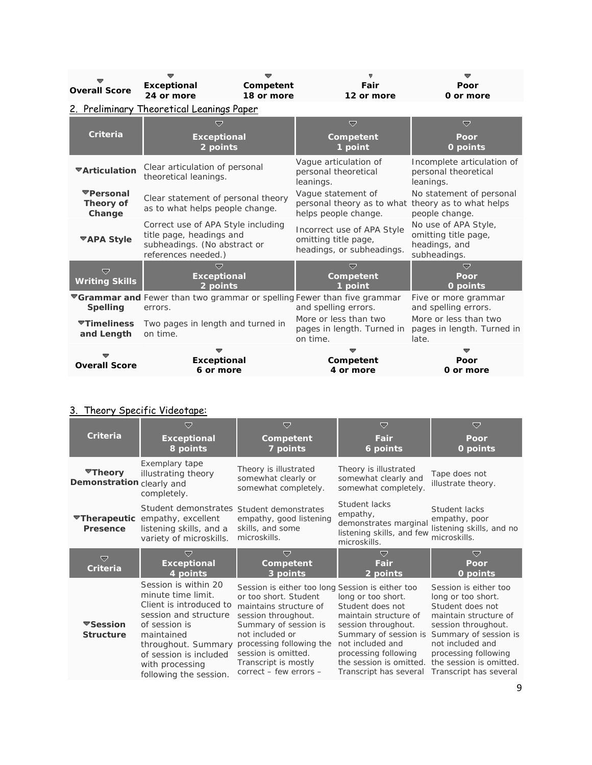| <b>Overall Score</b>             | <b>Exceptional</b><br>24 or more                                                                                      | Competent<br>18 or more | Fair<br>12 or more                                                                                     | Poor<br>0 or more                                                             |
|----------------------------------|-----------------------------------------------------------------------------------------------------------------------|-------------------------|--------------------------------------------------------------------------------------------------------|-------------------------------------------------------------------------------|
|                                  | 2. Preliminary Theoretical Leanings Paper                                                                             |                         |                                                                                                        |                                                                               |
| Criteria                         | ≂<br><b>Exceptional</b><br>2 points                                                                                   |                         | $\overline{\nabla}$<br>Competent<br>1 point                                                            | ▽<br>Poor<br>0 points                                                         |
| ▼Articulation                    | Clear articulation of personal<br>theoretical leanings.                                                               |                         | Vague articulation of<br>personal theoretical<br>leanings.                                             | Incomplete articulation of<br>personal theoretical<br>leanings.               |
| ▼Personal<br>Theory of<br>Change | Clear statement of personal theory<br>as to what helps people change.                                                 |                         | Vaque statement of<br>personal theory as to what<br>helps people change.                               | No statement of personal<br>theory as to what helps<br>people change.         |
| <b>™APA Style</b>                | Correct use of APA Style including<br>title page, headings and<br>subheadings. (No abstract or<br>references needed.) |                         | Incorrect use of APA Style<br>omitting title page,<br>headings, or subheadings.                        | No use of APA Style,<br>omitting title page,<br>headings, and<br>subheadings. |
| ▽<br><b>Writing Skills</b>       | <b>Exceptional</b><br>2 points                                                                                        |                         | ≂<br>Competent<br>1 point                                                                              | ≂<br>Poor<br>0 points                                                         |
| <b>Spelling</b>                  | errors.                                                                                                               |                         | <b>▼Grammar and</b> Fewer than two grammar or spelling Fewer than five grammar<br>and spelling errors. | Five or more grammar<br>and spelling errors.                                  |
| ▼Timeliness<br>and Length        | Two pages in length and turned in<br>on time.                                                                         |                         | More or less than two<br>pages in length. Turned in<br>on time.                                        | More or less than two<br>pages in length. Turned in<br>late.                  |
| <b>Overall Score</b>             | Exceptional<br>6 or more                                                                                              |                         | Competent<br>4 or more                                                                                 | Poor<br>0 or more                                                             |

# 3. Theory Specific Videotape:

|                                      | ᇦ                                                                                                                                                                                                                           | $\overline{\nabla}$                                                                                                                                                                                                                                                         | $\overline{\nabla}$                                                                                                                                                                                              | $\bigtriangledown$                                                                                                                                                                                                                        |
|--------------------------------------|-----------------------------------------------------------------------------------------------------------------------------------------------------------------------------------------------------------------------------|-----------------------------------------------------------------------------------------------------------------------------------------------------------------------------------------------------------------------------------------------------------------------------|------------------------------------------------------------------------------------------------------------------------------------------------------------------------------------------------------------------|-------------------------------------------------------------------------------------------------------------------------------------------------------------------------------------------------------------------------------------------|
| Criteria                             | <b>Exceptional</b><br>8 points                                                                                                                                                                                              | Competent<br>7 points                                                                                                                                                                                                                                                       | <b>Fair</b><br>6 points                                                                                                                                                                                          | Poor<br>0 points                                                                                                                                                                                                                          |
| ▼Theory<br>Demonstration clearly and | Exemplary tape<br>illustrating theory<br>completely.                                                                                                                                                                        | Theory is illustrated<br>somewhat clearly or<br>somewhat completely.                                                                                                                                                                                                        | Theory is illustrated<br>somewhat clearly and<br>somewhat completely.                                                                                                                                            | Tape does not<br>illustrate theory.                                                                                                                                                                                                       |
| Presence                             | Student demonstrates Student demonstrates<br><b>▼Therapeutic</b> empathy, excellent<br>listening skills, and a<br>variety of microskills.                                                                                   | empathy, good listening<br>skills, and some<br>microskills.                                                                                                                                                                                                                 | Student lacks<br>empathy,<br>demonstrates marginal<br>listening skills, and few<br>microskills.                                                                                                                  | Student lacks<br>empathy, poor<br>listening skills, and no<br>microskills.                                                                                                                                                                |
| ▽<br>Criteria                        | $\overline{\phantom{a}}$<br><b>Exceptional</b><br>4 points                                                                                                                                                                  | ▽<br>Competent<br>3 points                                                                                                                                                                                                                                                  | ▽<br><b>Fair</b><br>2 points                                                                                                                                                                                     | ▽<br>Poor<br>0 points                                                                                                                                                                                                                     |
| ▼Session<br><b>Structure</b>         | Session is within 20<br>minute time limit.<br>Client is introduced to<br>session and structure<br>of session is<br>maintained<br>throughout. Summary<br>of session is included<br>with processing<br>following the session. | Session is either too long Session is either too<br>or too short. Student<br>maintains structure of<br>session throughout.<br>Summary of session is<br>not included or<br>processing following the<br>session is omitted.<br>Transcript is mostly<br>correct - few errors - | long or too short.<br>Student does not<br>maintain structure of<br>session throughout.<br>Summary of session is<br>not included and<br>processing following<br>the session is omitted.<br>Transcript has several | Session is either too<br>long or too short.<br>Student does not<br>maintain structure of<br>session throughout.<br>Summary of session is<br>not included and<br>processing following<br>the session is omitted.<br>Transcript has several |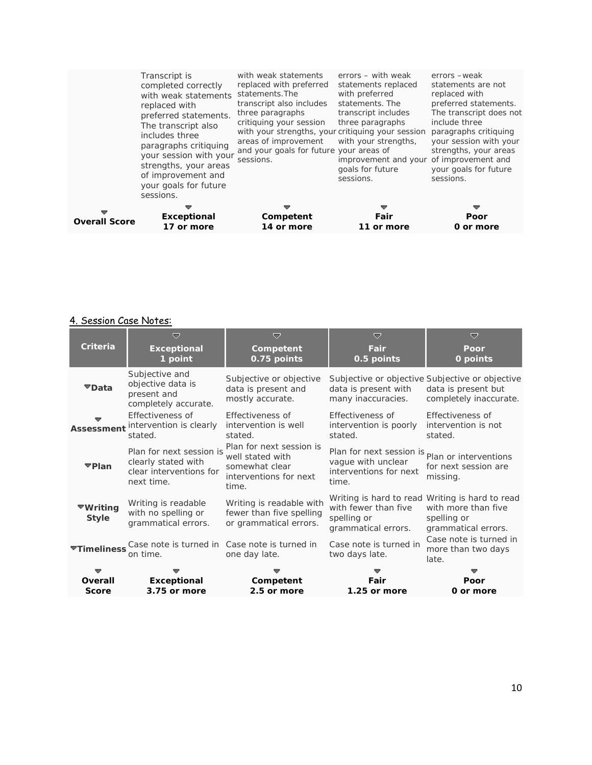# 4. Session Case Notes:

|                                 | ▽                                                                                        | ▽                                                                                                 | ▽                                                                                                       | $\overline{v}$                                                                                               |
|---------------------------------|------------------------------------------------------------------------------------------|---------------------------------------------------------------------------------------------------|---------------------------------------------------------------------------------------------------------|--------------------------------------------------------------------------------------------------------------|
| Criteria                        | <b>Exceptional</b><br>1 point                                                            | Competent<br>0.75 points                                                                          | Fair<br>0.5 points                                                                                      | Poor<br>0 points                                                                                             |
| ▼Data                           | Subjective and<br>objective data is<br>present and<br>completely accurate.               | Subjective or objective<br>data is present and<br>mostly accurate.                                | data is present with<br>many inaccuracies.                                                              | Subjective or objective Subjective or objective<br>data is present but<br>completely inaccurate.             |
| <b>Assessment</b>               | Effectiveness of<br>intervention is clearly<br>stated.                                   | Effectiveness of<br>intervention is well<br>stated.                                               | Effectiveness of<br>intervention is poorly<br>stated.                                                   | Effectiveness of<br>intervention is not<br>stated.                                                           |
| ▼Plan                           | Plan for next session is<br>clearly stated with<br>clear interventions for<br>next time. | Plan for next session is<br>well stated with<br>somewhat clear<br>interventions for next<br>time. | Plan for next session is plan or interventions<br>vague with unclear<br>interventions for next<br>time. | for next session are<br>missing.                                                                             |
| ▼Writing<br><b>Style</b>        | Writing is readable<br>with no spelling or<br>grammatical errors.                        | Writing is readable with<br>fewer than five spelling<br>or grammatical errors.                    | with fewer than five<br>spelling or<br>grammatical errors.                                              | Writing is hard to read Writing is hard to read<br>with more than five<br>spelling or<br>grammatical errors. |
| $\blacktriangledown$ Timeliness | Case note is turned in<br>on time.                                                       | Case note is turned in<br>one day late.                                                           | Case note is turned in<br>two days late.                                                                | Case note is turned in<br>more than two days<br>late.                                                        |
|                                 |                                                                                          |                                                                                                   |                                                                                                         |                                                                                                              |
| Overall<br><b>Score</b>         | Exceptional<br>3.75 or more                                                              | Competent<br>2.5 or more                                                                          | Fair<br>1.25 or more                                                                                    | Poor<br>0 or more                                                                                            |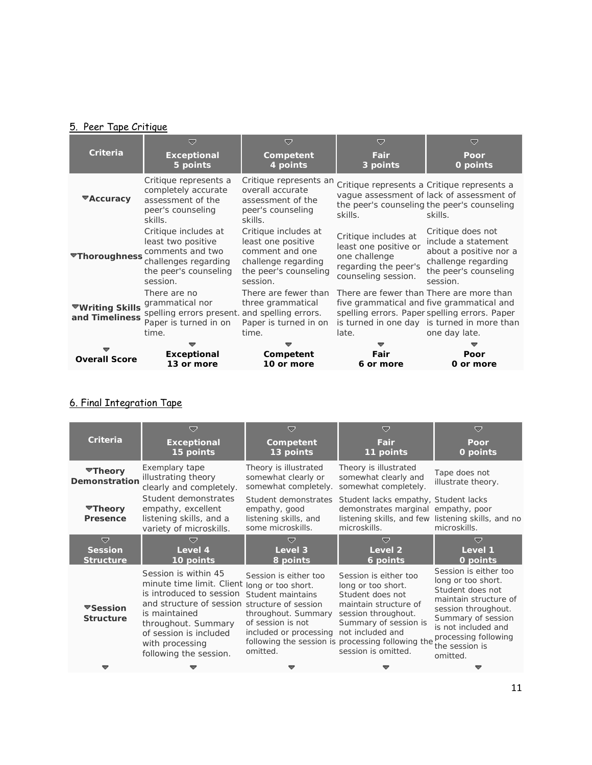## 5. Peer Tape Critique

|                                          | $\overline{\phantom{a}}$                                                                                                    | ≂                                                                                                                         | $\overline{\phantom{a}}$                                                                                      | ≂                                                                                                                                                          |
|------------------------------------------|-----------------------------------------------------------------------------------------------------------------------------|---------------------------------------------------------------------------------------------------------------------------|---------------------------------------------------------------------------------------------------------------|------------------------------------------------------------------------------------------------------------------------------------------------------------|
| Criteria                                 | <b>Exceptional</b><br>5 points                                                                                              | Competent<br>4 points                                                                                                     | Fair<br>3 points                                                                                              | Poor<br>0 points                                                                                                                                           |
| $\blacktriangledown$ Accuracy            | Critique represents a<br>completely accurate<br>assessment of the<br>peer's counseling<br>skills.                           | Critique represents an<br>overall accurate<br>assessment of the<br>peer's counseling<br>skills.                           | skills.                                                                                                       | Critique represents a Critique represents a<br>vaque assessment of lack of assessment of<br>the peer's counseling the peer's counseling<br>skills.         |
| <b>▼Thoroughness</b>                     | Critique includes at<br>least two positive<br>comments and two<br>challenges regarding<br>the peer's counseling<br>session. | Critique includes at<br>least one positive<br>comment and one<br>challenge regarding<br>the peer's counseling<br>session. | Critique includes at<br>least one positive or<br>one challenge<br>regarding the peer's<br>counseling session. | Critique does not<br>include a statement<br>about a positive nor a<br>challenge regarding<br>the peer's counseling<br>session.                             |
| <b>▼Writing Skills</b><br>and Timeliness | There are no<br>grammatical nor<br>spelling errors present. and spelling errors.<br>Paper is turned in on<br>time.          | There are fewer than<br>three grammatical<br>Paper is turned in on<br>time.                                               | There are fewer than There are more than<br>late.                                                             | five grammatical and five grammatical and<br>spelling errors. Paper spelling errors. Paper<br>is turned in one day is turned in more than<br>one day late. |
|                                          |                                                                                                                             |                                                                                                                           |                                                                                                               |                                                                                                                                                            |
| <b>Overall Score</b>                     | <b>Exceptional</b>                                                                                                          | Competent                                                                                                                 | Fair                                                                                                          | Poor                                                                                                                                                       |
|                                          | 13 or more                                                                                                                  | 10 or more                                                                                                                | 6 or more                                                                                                     | 0 or more                                                                                                                                                  |

# 6. Final Integration Tape

| Criteria                                | $\overline{\phantom{a}}$<br><b>Exceptional</b><br>15 points                                                                                                                                                                                                      | ▽<br>Competent<br>13 points                                                                                                  | $\triangledown$<br>Fair<br>11 points                                                                                                                                                                                                     | ▽<br>Poor<br>0 points                                                                                                                                                                                              |
|-----------------------------------------|------------------------------------------------------------------------------------------------------------------------------------------------------------------------------------------------------------------------------------------------------------------|------------------------------------------------------------------------------------------------------------------------------|------------------------------------------------------------------------------------------------------------------------------------------------------------------------------------------------------------------------------------------|--------------------------------------------------------------------------------------------------------------------------------------------------------------------------------------------------------------------|
| ▼Theory<br>Demonstration                | Exemplary tape<br>illustrating theory<br>clearly and completely.                                                                                                                                                                                                 | Theory is illustrated<br>somewhat clearly or<br>somewhat completely.                                                         | Theory is illustrated<br>somewhat clearly and<br>somewhat completely.                                                                                                                                                                    | Tape does not<br>illustrate theory.                                                                                                                                                                                |
| ▼Theory<br>Presence                     | Student demonstrates<br>empathy, excellent<br>listening skills, and a<br>variety of microskills.                                                                                                                                                                 | Student demonstrates<br>empathy, good<br>listening skills, and<br>some microskills.                                          | Student lacks empathy, Student lacks<br>demonstrates marginal empathy, poor<br>listening skills, and few listening skills, and no<br>microskills.                                                                                        | microskills.                                                                                                                                                                                                       |
| ᇦ<br><b>Session</b><br><b>Structure</b> | ≂<br>Level 4<br>10 points                                                                                                                                                                                                                                        | v<br>Level 3<br>8 points                                                                                                     | ▽<br>Level 2<br>6 points                                                                                                                                                                                                                 | ≂<br>Level 1                                                                                                                                                                                                       |
|                                         |                                                                                                                                                                                                                                                                  |                                                                                                                              |                                                                                                                                                                                                                                          | 0 points                                                                                                                                                                                                           |
| ▼Session<br><b>Structure</b>            | Session is within 45<br>minute time limit. Client long or too short.<br>is introduced to session<br>and structure of session structure of session<br>is maintained<br>throughout. Summary<br>of session is included<br>with processing<br>following the session. | Session is either too<br>Student maintains<br>throughout. Summary<br>of session is not<br>included or processing<br>omitted. | Session is either too<br>long or too short.<br>Student does not<br>maintain structure of<br>session throughout.<br>Summary of session is<br>not included and<br>following the session is processing following the<br>session is omitted. | Session is either too<br>long or too short.<br>Student does not<br>maintain structure of<br>session throughout.<br>Summary of session<br>is not included and<br>processing following<br>the session is<br>omitted. |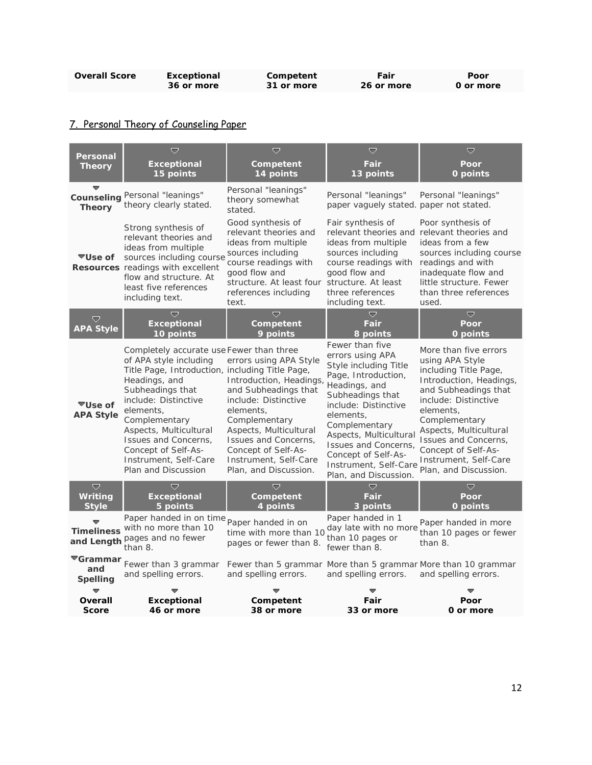| <b>Overall Score</b> | Exceptional | Competent  | Fair       | Poor      |
|----------------------|-------------|------------|------------|-----------|
|                      | 36 or more  | 31 or more | 26 or more | 0 or more |

# 7. Personal Theory of Counseling Paper

| Personal                                               | $\overline{\nabla}$                                                                                                                                                                                                                                                                                                                       | Ō                                                                                                                                                                                                                                                          | $\overline{\mathbf{v}}$                                                                                                                                                                                                                                                                                   | ▽                                                                                                                                                                                                                                                                                                     |
|--------------------------------------------------------|-------------------------------------------------------------------------------------------------------------------------------------------------------------------------------------------------------------------------------------------------------------------------------------------------------------------------------------------|------------------------------------------------------------------------------------------------------------------------------------------------------------------------------------------------------------------------------------------------------------|-----------------------------------------------------------------------------------------------------------------------------------------------------------------------------------------------------------------------------------------------------------------------------------------------------------|-------------------------------------------------------------------------------------------------------------------------------------------------------------------------------------------------------------------------------------------------------------------------------------------------------|
| <b>Theory</b>                                          | <b>Exceptional</b><br>15 points                                                                                                                                                                                                                                                                                                           | Competent<br>14 points                                                                                                                                                                                                                                     | Fair<br>13 points                                                                                                                                                                                                                                                                                         | Poor<br>0 points                                                                                                                                                                                                                                                                                      |
| Counselina<br><b>Theory</b>                            | Personal "leanings"<br>theory clearly stated.                                                                                                                                                                                                                                                                                             | Personal "leanings"<br>theory somewhat<br>stated.                                                                                                                                                                                                          | Personal "leanings"<br>paper vaguely stated, paper not stated.                                                                                                                                                                                                                                            | Personal "leanings"                                                                                                                                                                                                                                                                                   |
| ▼Use of                                                | Strong synthesis of<br>relevant theories and<br>ideas from multiple<br>sources including course<br>Resources readings with excellent<br>flow and structure. At<br>least five references<br>including text.                                                                                                                                | Good synthesis of<br>relevant theories and<br>ideas from multiple<br>sources including<br>course readings with<br>good flow and<br>structure. At least four structure. At least<br>references including<br>text.                                           | Fair synthesis of<br>relevant theories and relevant theories and<br>ideas from multiple<br>sources including<br>course readings with<br>good flow and<br>three references<br>including text.                                                                                                              | Poor synthesis of<br>ideas from a few<br>sources including course<br>readings and with<br>inadequate flow and<br>little structure. Fewer<br>than three references<br>used.                                                                                                                            |
| ▽<br><b>APA Style</b>                                  | $\overline{\nabla}$<br><b>Exceptional</b><br>10 points                                                                                                                                                                                                                                                                                    | $\overline{\nabla}$<br>Competent<br>9 points                                                                                                                                                                                                               | Ó<br>Fair<br>8 points                                                                                                                                                                                                                                                                                     | $\overline{\nabla}$<br>Poor<br>0 points                                                                                                                                                                                                                                                               |
| ▼Use of<br><b>APA Style</b>                            | Completely accurate use Fewer than three<br>of APA style including<br>Title Page, Introduction, including Title Page,<br>Headings, and<br>Subheadings that<br>include: Distinctive<br>elements.<br>Complementary<br>Aspects, Multicultural<br>Issues and Concerns.<br>Concept of Self-As-<br>Instrument, Self-Care<br>Plan and Discussion | errors using APA Style<br>Introduction, Headings,<br>and Subheadings that<br>include: Distinctive<br>elements.<br>Complementary<br>Aspects, Multicultural<br>Issues and Concerns.<br>Concept of Self-As-<br>Instrument, Self-Care<br>Plan, and Discussion. | Fewer than five<br>errors using APA<br>Style including Title<br>Page, Introduction,<br>Headings, and<br>Subheadings that<br>include: Distinctive<br>elements,<br>Complementary<br>Aspects, Multicultural<br>Issues and Concerns,<br>Concept of Self-As-<br>Instrument, Self-Care<br>Plan, and Discussion. | More than five errors<br>using APA Style<br>including Title Page,<br>Introduction, Headings,<br>and Subheadings that<br>include: Distinctive<br>elements.<br>Complementary<br>Aspects, Multicultural<br>Issues and Concerns.<br>Concept of Self-As-<br>Instrument, Self-Care<br>Plan, and Discussion. |
| $\triangledown$<br>Writing<br><b>Style</b>             | $\overline{\nabla}$<br><b>Exceptional</b><br>5 points                                                                                                                                                                                                                                                                                     | ᇦ<br>Competent<br>4 points                                                                                                                                                                                                                                 | $\overline{\nabla}$<br>Fair<br>3 points                                                                                                                                                                                                                                                                   | ▽<br>Poor<br>0 points                                                                                                                                                                                                                                                                                 |
|                                                        | Paper handed in on time<br>Timeliness with no more than 10<br>and Length pages and no fewer<br>than 8.                                                                                                                                                                                                                                    | Paper handed in on<br>time with more than 10<br>pages or fewer than 8.                                                                                                                                                                                     | Paper handed in 1<br>day late with no more<br>than 10 pages or<br>fewer than 8.                                                                                                                                                                                                                           | Paper handed in more<br>than 10 pages or fewer<br>than 8.                                                                                                                                                                                                                                             |
| $\blacktriangledown$ Grammar<br>and<br><b>Spelling</b> | Fewer than 3 grammar<br>and spelling errors.                                                                                                                                                                                                                                                                                              | Fewer than 5 grammar More than 5 grammar More than 10 grammar<br>and spelling errors.                                                                                                                                                                      | and spelling errors.                                                                                                                                                                                                                                                                                      | and spelling errors.                                                                                                                                                                                                                                                                                  |
| Overall                                                | <b>Exceptional</b>                                                                                                                                                                                                                                                                                                                        | Competent                                                                                                                                                                                                                                                  | Fair                                                                                                                                                                                                                                                                                                      | Poor                                                                                                                                                                                                                                                                                                  |
| <b>Score</b>                                           | 46 or more                                                                                                                                                                                                                                                                                                                                | 38 or more                                                                                                                                                                                                                                                 | 33 or more                                                                                                                                                                                                                                                                                                | 0 or more                                                                                                                                                                                                                                                                                             |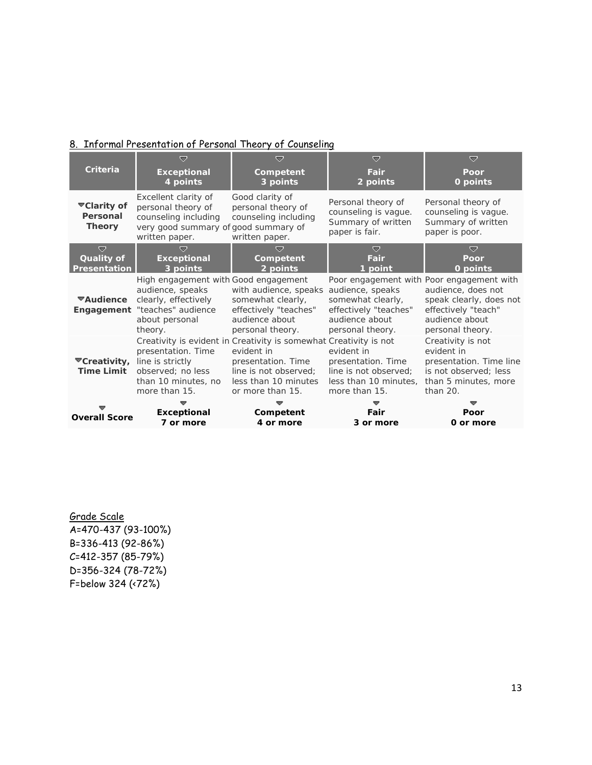## 8. Informal Presentation of Personal Theory of Counseling

| <b>Criteria</b>                                                 | ▽                                                                                                                                              | $\overline{a}$                                                                                                                                                             | $\bigtriangledown$                                                                                   | ▽                                                                                                                                                       |
|-----------------------------------------------------------------|------------------------------------------------------------------------------------------------------------------------------------------------|----------------------------------------------------------------------------------------------------------------------------------------------------------------------------|------------------------------------------------------------------------------------------------------|---------------------------------------------------------------------------------------------------------------------------------------------------------|
|                                                                 | <b>Exceptional</b><br>4 points                                                                                                                 | Competent<br>3 points                                                                                                                                                      | Fair<br>2 points                                                                                     | Poor<br>0 points                                                                                                                                        |
| ▼Clarity of<br>Personal<br><b>Theory</b>                        | Excellent clarity of<br>personal theory of<br>counseling including<br>very good summary of good summary of<br>written paper.                   | Good clarity of<br>personal theory of<br>counseling including<br>written paper.                                                                                            | Personal theory of<br>counseling is vague.<br>Summary of written<br>paper is fair.                   | Personal theory of<br>counseling is vague.<br>Summary of written<br>paper is poor.                                                                      |
| $\overline{\nabla}$<br><b>Quality of</b><br><b>Presentation</b> | $\overline{ }$<br><b>Exceptional</b><br>3 points                                                                                               | æ.<br>Competent<br>2 points                                                                                                                                                | U<br>Fair<br>1 point                                                                                 | ᇦ<br>Poor<br>0 points                                                                                                                                   |
| ▼Audience                                                       | High engagement with Good engagement<br>audience, speaks<br>clearly, effectively<br>Engagement "teaches" audience<br>about personal<br>theory. | with audience, speaks<br>somewhat clearly,<br>effectively "teaches"<br>audience about<br>personal theory.                                                                  | audience, speaks<br>somewhat clearly,<br>effectively "teaches"<br>audience about<br>personal theory. | Poor engagement with Poor engagement with<br>audience, does not<br>speak clearly, does not<br>effectively "teach"<br>audience about<br>personal theory. |
| <b>▼Creativity,</b><br><b>Time Limit</b>                        | presentation. Time<br>line is strictly<br>observed; no less<br>than 10 minutes, no<br>more than 15.                                            | Creativity is evident in Creativity is somewhat Creativity is not<br>evident in<br>presentation. Time<br>line is not observed;<br>less than 10 minutes<br>or more than 15. | evident in<br>presentation. Time<br>line is not observed;<br>less than 10 minutes,<br>more than 15.  | Creativity is not<br>evident in<br>presentation. Time line<br>is not observed; less<br>than 5 minutes, more<br>than $20.$                               |
| <b>Overall Score</b>                                            | <b>Exceptional</b><br>7 or more                                                                                                                | Competent<br>4 or more                                                                                                                                                     | Fair<br>3 or more                                                                                    | Poor<br>0 or more                                                                                                                                       |

Grade Scale A=470-437 (93-100%) B=336-413 (92-86%) C=412-357 (85-79%) D=356-324 (78-72%) F=below 324 (<72%)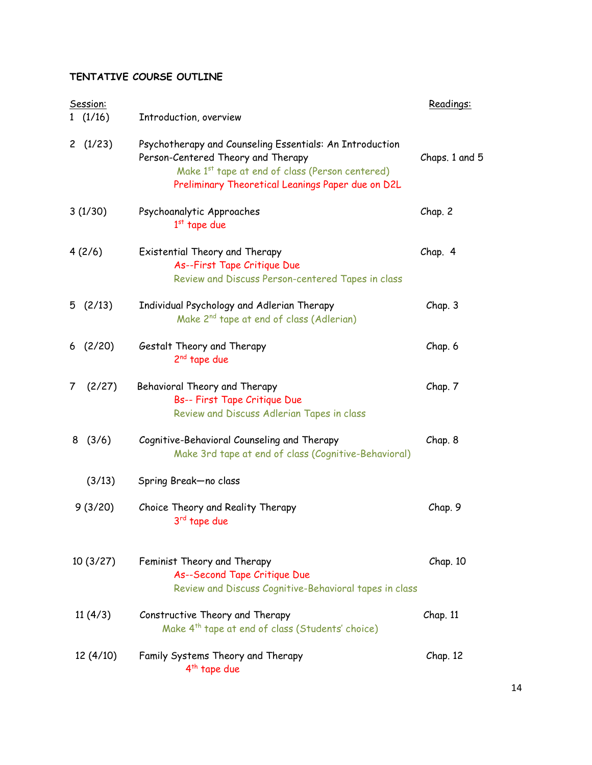# **TENTATIVE COURSE OUTLINE**

| Session:    |                                                                                                                                                                                                                    | Readings:      |
|-------------|--------------------------------------------------------------------------------------------------------------------------------------------------------------------------------------------------------------------|----------------|
| 1(1/16)     | Introduction, overview                                                                                                                                                                                             |                |
| 2 $(1/23)$  | Psychotherapy and Counseling Essentials: An Introduction<br>Person-Centered Theory and Therapy<br>Make 1 <sup>st</sup> tape at end of class (Person centered)<br>Preliminary Theoretical Leanings Paper due on D2L | Chaps. 1 and 5 |
| 3(1/30)     | Psychoanalytic Approaches<br>$1st$ tape due                                                                                                                                                                        | Chap. 2        |
| 4(2/6)      | Existential Theory and Therapy<br>As--First Tape Critique Due<br>Review and Discuss Person-centered Tapes in class                                                                                                 | Chap. 4        |
| 5(2/13)     | Individual Psychology and Adlerian Therapy<br>Make 2 <sup>nd</sup> tape at end of class (Adlerian)                                                                                                                 | Chap. 3        |
| 6(2/20)     | Gestalt Theory and Therapy<br>2 <sup>nd</sup> tape due                                                                                                                                                             | Chap. 6        |
| (2/27)<br>7 | Behavioral Theory and Therapy<br>Bs-- First Tape Critique Due<br>Review and Discuss Adlerian Tapes in class                                                                                                        | Chap. 7        |
| 8(3/6)      | Cognitive-Behavioral Counseling and Therapy<br>Make 3rd tape at end of class (Cognitive-Behavioral)                                                                                                                | Chap. 8        |
| (3/13)      | Spring Break-no class                                                                                                                                                                                              |                |
| 9(3/20)     | Choice Theory and Reality Therapy<br>3 <sup>rd</sup> tape due                                                                                                                                                      | Chap. 9        |
| 10(3/27)    | Feminist Theory and Therapy<br>As--Second Tape Critique Due<br>Review and Discuss Cognitive-Behavioral tapes in class                                                                                              | Chap. 10       |
| 11(4/3)     | Constructive Theory and Therapy<br>Make 4 <sup>th</sup> tape at end of class (Students' choice)                                                                                                                    | Chap. 11       |
| 12 (4/10)   | Family Systems Theory and Therapy<br>4 <sup>th</sup> tape due                                                                                                                                                      | Chap. 12       |